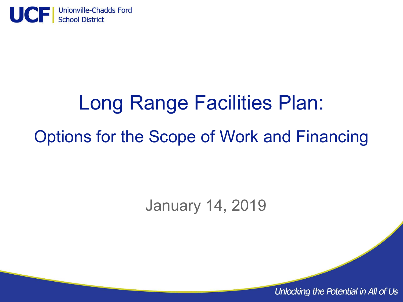

# Long Range Facilities Plan: Options for the Scope of Work and Financing

# January 14, 2019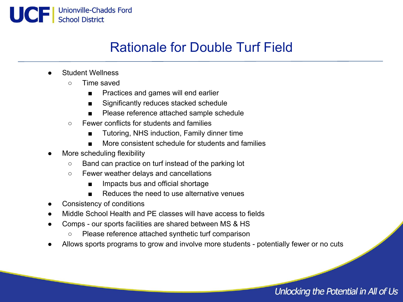

# Rationale for Double Turf Field

- **Student Wellness** 
	- Time saved
		- Practices and games will end earlier
		- Significantly reduces stacked schedule
		- Please reference attached sample schedule
	- Fewer conflicts for students and families
		- Tutoring, NHS induction, Family dinner time
		- More consistent schedule for students and families
- More scheduling flexibility
	- Band can practice on turf instead of the parking lot
	- Fewer weather delays and cancellations
		- Impacts bus and official shortage
		- Reduces the need to use alternative venues
- Consistency of conditions
- Middle School Health and PE classes will have access to fields
- Comps our sports facilities are shared between MS & HS
	- Please reference attached synthetic turf comparison
- Allows sports programs to grow and involve more students potentially fewer or no cuts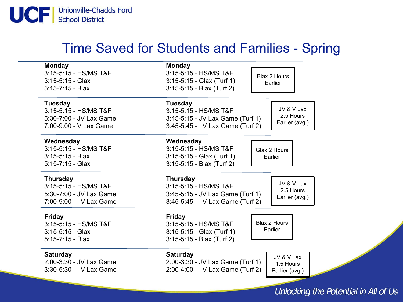

# Time Saved for Students and Families - Spring

| <b>Monday</b>                          | <b>Monday</b>                                                 |
|----------------------------------------|---------------------------------------------------------------|
| 3:15-5:15 - HS/MS T&F                  | 3:15-5:15 - HS/MS T&F<br><b>Blax 2 Hours</b>                  |
| $3:15-5:15 - Glax$                     | $3:15-5:15 - Glax$ (Turf 1)<br>Earlier                        |
| $5:15-7:15 - Blax$                     | 3:15-5:15 - Blax (Turf 2)                                     |
| <b>Tuesday</b>                         | <b>Tuesday</b>                                                |
| 3:15-5:15 - HS/MS T&F                  | JV & V Lax<br>3:15-5:15 - HS/MS T&F                           |
| 5:30-7:00 - JV Lax Game                | 2.5 Hours<br>3:45-5:15 - JV Lax Game (Turf 1)                 |
| 7:00-9:00 - V Lax Game                 | Earlier (avg.)<br>3:45-5:45 - V Lax Game (Turf 2)             |
| Wednesday                              | Wednesday                                                     |
| 3:15-5:15 - HS/MS T&F                  | 3:15-5:15 - HS/MS T&F<br>Glax 2 Hours                         |
| $3:15-5:15 - Blax$                     | $3:15-5:15 - Glax$ (Turf 1)<br>Earlier                        |
| $5:15-7:15 - Glax$                     | $3:15-5:15 - Blax$ (Turf 2)                                   |
|                                        | <b>Thursday</b>                                               |
| <b>Thursday</b>                        |                                                               |
| 3:15-5:15 - HS/MS T&F                  | JV & V Lax<br>3:15-5:15 - HS/MS T&F                           |
| 5:30-7:00 - JV Lax Game                | 2.5 Hours<br>3:45-5:15 - JV Lax Game (Turf 1)                 |
| 7:00-9:00 - V Lax Game                 | Earlier (avg.)<br>3:45-5:45 - V Lax Game (Turf 2)             |
|                                        |                                                               |
| <b>Friday</b><br>3:15-5:15 - HS/MS T&F | <b>Friday</b><br><b>Blax 2 Hours</b><br>3:15-5:15 - HS/MS T&F |
| $3:15-5:15 - Glax$                     | Earlier                                                       |
| $5:15 - 7:15 - Blax$                   | $3:15-5:15 - Glax$ (Turf 1)<br>3:15-5:15 - Blax (Turf 2)      |
|                                        |                                                               |
| <b>Saturday</b>                        | <b>Saturday</b><br>JV & V Lax                                 |
| 2:00-3:30 - JV Lax Game                | 2:00-3:30 - JV Lax Game (Turf 1)<br>1.5 Hours                 |
| 3:30-5:30 - V Lax Game                 | 2:00-4:00 - V Lax Game (Turf 2)<br>Earlier (avg.)             |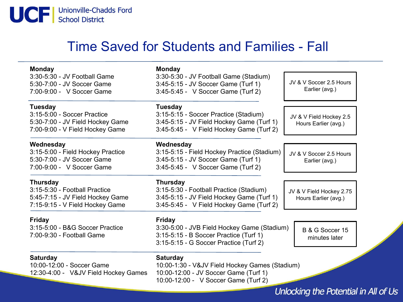

# Time Saved for Students and Families - Fall

| <b>Monday</b>                                              | <b>Monday</b>                                                                 |                                      |  |  |  |
|------------------------------------------------------------|-------------------------------------------------------------------------------|--------------------------------------|--|--|--|
| 3:30-5:30 - JV Football Game<br>5:30-7:00 - JV Soccer Game | 3:30-5:30 - JV Football Game (Stadium)<br>3:45-5:15 - JV Soccer Game (Turf 1) | JV & V Soccer 2.5 Hours              |  |  |  |
| 7:00-9:00 - V Soccer Game                                  | 3:45-5:45 - V Soccer Game (Turf 2)                                            | Earlier (avg.)                       |  |  |  |
| <b>Tuesday</b>                                             | <b>Tuesday</b>                                                                |                                      |  |  |  |
| 3:15-5:00 - Soccer Practice                                | 3:15-5:15 - Soccer Practice (Stadium)                                         | JV & V Field Hockey 2.5              |  |  |  |
| 5:30-7:00 - JV Field Hockey Game                           | 3:45-5:15 - JV Field Hockey Game (Turf 1)                                     | Hours Earlier (avg.)                 |  |  |  |
| 7:00-9:00 - V Field Hockey Game                            | 3:45-5:45 - V Field Hockey Game (Turf 2)                                      |                                      |  |  |  |
| Wednesday                                                  | Wednesday                                                                     |                                      |  |  |  |
| 3:15-5:00 - Field Hockey Practice                          | 3:15-5:15 - Field Hockey Practice (Stadium)                                   | JV & V Soccer 2.5 Hours              |  |  |  |
| 5:30-7:00 - JV Soccer Game                                 | 3:45-5:15 - JV Soccer Game (Turf 1)                                           | Earlier (avg.)                       |  |  |  |
| 7:00-9:00 - V Soccer Game                                  | 3:45-5:45 - V Soccer Game (Turf 2)                                            |                                      |  |  |  |
| <b>Thursday</b>                                            | <b>Thursday</b>                                                               |                                      |  |  |  |
| 3:15-5:30 - Football Practice                              | 3:15-5:30 - Football Practice (Stadium)                                       | JV & V Field Hockey 2.75             |  |  |  |
| 5:45-7:15 - JV Field Hockey Game                           | 3:45-5:15 - JV Field Hockey Game (Turf 1)                                     | Hours Earlier (avg.)                 |  |  |  |
| 7:15-9:15 - V Field Hockey Game                            | 3:45-5:45 - V Field Hockey Game (Turf 2)                                      |                                      |  |  |  |
| <b>Friday</b>                                              | <b>Friday</b>                                                                 |                                      |  |  |  |
| 3:15-5:00 - B&G Soccer Practice                            | 3:30-5:00 - JVB Field Hockey Game (Stadium)                                   | B & G Soccer 15                      |  |  |  |
| 7:00-9:30 - Football Game                                  | 3:15-5:15 - B Soccer Practice (Turf 1)                                        | minutes later                        |  |  |  |
|                                                            | 3:15-5:15 - G Soccer Practice (Turf 2)                                        |                                      |  |  |  |
| <b>Saturday</b>                                            | <b>Saturday</b>                                                               |                                      |  |  |  |
| 10:00-12:00 - Soccer Game                                  | 10:00-1:30 - V&JV Field Hockey Games (Stadium)                                |                                      |  |  |  |
| 12:30-4:00 - V&JV Field Hockey Games                       | 10:00-12:00 - JV Soccer Game (Turf 1)                                         |                                      |  |  |  |
|                                                            | 10:00-12:00 - V Soccer Game (Turf 2)                                          |                                      |  |  |  |
|                                                            |                                                                               | Unlocking the Potential in All of Us |  |  |  |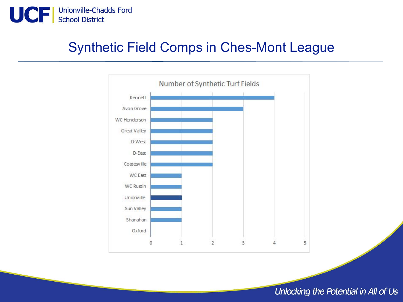

# Synthetic Field Comps in Ches-Mont League

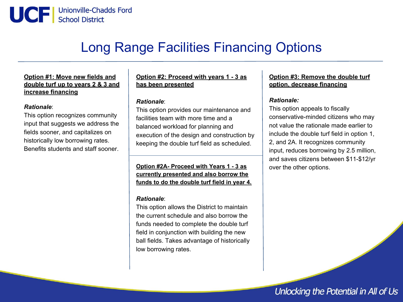

# Long Range Facilities Financing Options

#### **Option #1: Move new fields and double turf up to years 2 & 3 and increase financing**

#### *Rationale*:

This option recognizes community input that suggests we address the fields sooner, and capitalizes on historically low borrowing rates. Benefits students and staff sooner.

#### **Option #2: Proceed with years 1 - 3 as has been presented**

#### *Rationale*:

This option provides our maintenance and facilities team with more time and a balanced workload for planning and execution of the design and construction by keeping the double turf field as scheduled.

**Option #2A- Proceed with Years 1 - 3 as currently presented and also borrow the funds to do the double turf field in year 4.**

#### *Rationale*:

This option allows the District to maintain the current schedule and also borrow the funds needed to complete the double turf field in conjunction with building the new ball fields. Takes advantage of historically low borrowing rates.

#### **Option #3: Remove the double turf option, decrease financing**

#### *Rationale:*

This option appeals to fiscally conservative-minded citizens who may not value the rationale made earlier to include the double turf field in option 1, 2, and 2A. It recognizes community input, reduces borrowing by 2.5 million, and saves citizens between \$11-\$12/yr over the other options.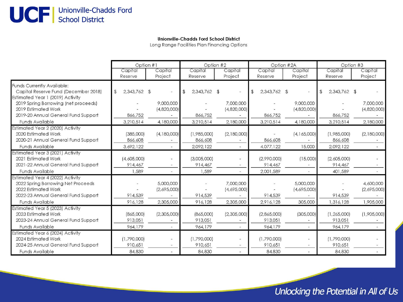# UCF | Unionville-Chadds Ford

#### **Unionville-Chadds Ford School District**

Long Range Facilities Plan Financing Options

|                                                                                                                                                                |                                   | Option #1                             |                                     | Option #2                             |                                   | Option #2A                          | Option #3                           |                                       |
|----------------------------------------------------------------------------------------------------------------------------------------------------------------|-----------------------------------|---------------------------------------|-------------------------------------|---------------------------------------|-----------------------------------|-------------------------------------|-------------------------------------|---------------------------------------|
|                                                                                                                                                                | Capital                           | Capital                               | Capital                             | Capital                               | Capital                           | Capital                             | Capital                             | Capital                               |
|                                                                                                                                                                | Reserve                           | Project                               | Reserve                             | Project                               | Reserve                           | Project                             | Reserve                             | Project                               |
| Funds Currently Available:<br>Capital Reserve Fund (December 2018)<br>Estimated Year 1 (2019) Activity                                                         | 2,343,762 \$<br>$\mathcal{F}$     |                                       | 2,343,762 \$<br>$\mathfrak{L}$      |                                       | 2,343,762 \$<br>\$                |                                     | 2,343,762 \$<br>$\mathcal{F}$       |                                       |
| 2019 Spring Borrowing (net proceeds)<br>2019 Estimated Work                                                                                                    |                                   | 9,000,000<br>(4,820,000)              |                                     | 7,000,000<br>(4,820,000)              |                                   | 9,000,000<br>(4,820,000)            |                                     | 7,000,000<br>(4,820,000)              |
| 2019-20 Annual General Fund Support                                                                                                                            | 866,752                           |                                       | 866,752                             |                                       | 866,752                           |                                     | 866,752                             |                                       |
| <b>Funds Available</b>                                                                                                                                         | 3,210,514                         | 4,180,000                             | 3,210,514                           | 2,180,000                             | 3,210,514                         | 4,180,000                           | 3,210,514                           | 2,180,000                             |
| Estimated Year 2 (2020) Activity<br>2020 Estimated Work<br>2020-21 Annual General Fund Support<br><b>Funds Available</b>                                       | (385,000)<br>866,608<br>3,692,122 | (4,180,000)                           | (1,985,000)<br>866,608<br>2,092,122 | (2,180,000)                           | 866,608<br>4,077,122              | (4, 165, 000)<br>15,000             | (1,985,000)<br>866,608<br>2,092,122 | (2,180,000)                           |
| Estimated Year 3 (2021) Activity                                                                                                                               |                                   |                                       |                                     |                                       |                                   |                                     |                                     |                                       |
| 2021 Estimated Work<br>2021-22 Annual General Fund Support                                                                                                     | (4,605,000)<br>914,467            | $\rightarrow$                         | (3,005,000)<br>914,467              |                                       | (2,990,000)<br>914,467            | (15,000)                            | (2,605,000)<br>914,467              |                                       |
| <b>Funds Available</b>                                                                                                                                         | 1,589                             |                                       | 1,589                               |                                       | 2,001,589                         |                                     | 401,589                             |                                       |
| Estimated Year 4 (2022) Activity<br>2022 Spring Borrowing Net Proceeds<br>2022 Estimated Work<br>2022-23 Annual General Fund Support<br><b>Funds Available</b> | 914,539<br>916,128                | 5,000,000<br>(2,695,000)<br>2,305,000 | 914,539<br>916,128                  | 7,000,000<br>(4,695,000)<br>2,305,000 | 914,539<br>2,916,128              | 5,000,000<br>(4,695,000)<br>305,000 | 914,539<br>1,316,128                | 4,600,000<br>(2,695,000)<br>1,905,000 |
| Estimated Year 5 (2023) Activity<br>2023 Estimated Work<br>2023-24 Annual General Fund Support<br><b>Funds Available</b>                                       | (865,000)<br>913,051<br>964,179   | (2,305,000)                           | (865,000)<br>913,051<br>964,179     | (2,305,000)                           | (2,865,000)<br>913,051<br>964,179 | (305,000)                           | (1, 265, 000)<br>913.051<br>964,179 | (1,905,000)                           |
| Estimated Year 6 (2024) Activity<br>2024 Estimated Work<br>2024-25 Annual General Fund Support<br><b>Funds Available</b>                                       | (1,790,000)<br>910,651<br>84,830  | $\overline{\phantom{a}}$<br>$-$       | (1,790,000)<br>910,651<br>84,830    |                                       | (1,790,000)<br>910,651<br>84,830  |                                     | (1,790,000)<br>910,651<br>84,830    |                                       |